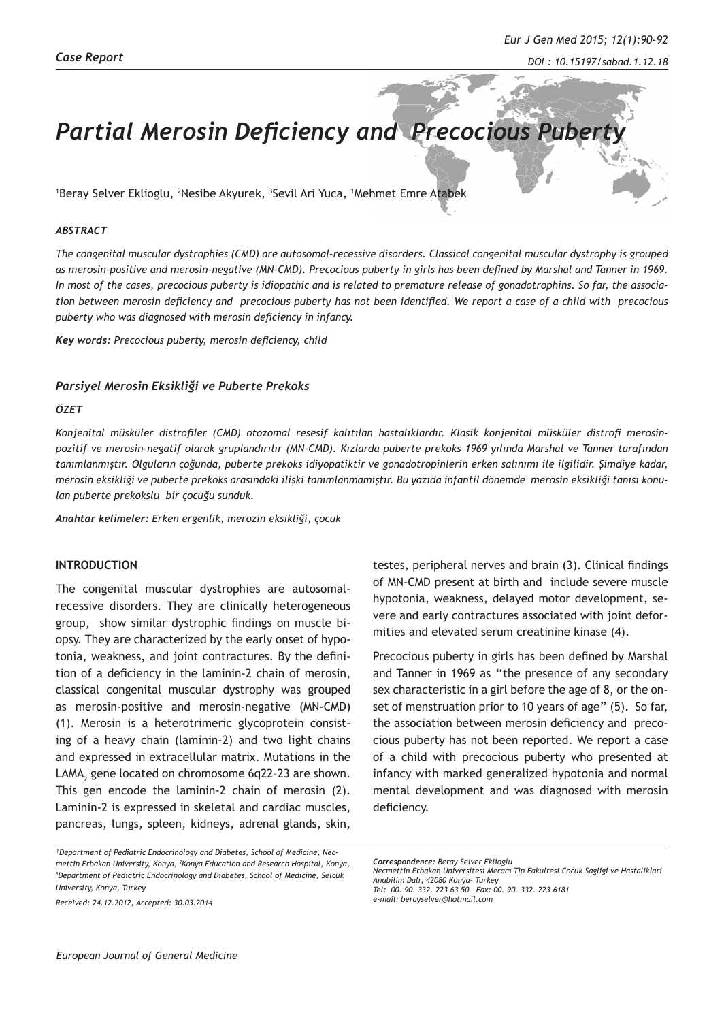# **Partial Merosin Deficiency and Precocious Pubert**

1 Beray Selver Eklioglu, 2 Nesibe Akyurek, 3 Sevil Ari Yuca, 1 Mehmet Emre Atabek

### *ABSTRACT*

*The congenital muscular dystrophies (CMD) are autosomal-recessive disorders. Classical congenital muscular dystrophy is grouped as merosin-positive and merosin-negative (MN-CMD). Precocious puberty in girls has been defined by Marshal and Tanner in 1969. In most of the cases, precocious puberty is idiopathic and is related to premature release of gonadotrophins. So far, the association between merosin deficiency and precocious puberty has not been identified. We report a case of a child with precocious puberty who was diagnosed with merosin deficiency in infancy.*

*Key words: Precocious puberty, merosin deficiency, child*

#### *Parsiyel Merosin Eksikliği ve Puberte Prekoks*

### *ÖZET*

*Konjenital müsküler distrofiler (CMD) otozomal resesif kalıtılan hastalıklardır. Klasik konjenital müsküler distrofi merosinpozitif ve merosin-negatif olarak gruplandırılır (MN-CMD). Kızlarda puberte prekoks 1969 yılında Marshal ve Tanner tarafından tanımlanmıştır. Olguların çoğunda, puberte prekoks idiyopatiktir ve gonadotropinlerin erken salınımı ile ilgilidir. Şimdiye kadar, merosin eksikliği ve puberte prekoks arasındaki ilişki tanımlanmamıştır. Bu yazıda infantil dönemde merosin eksikliği tanısı konulan puberte prekokslu bir çocuğu sunduk.*

*Anahtar kelimeler: Erken ergenlik, merozin eksikliği, çocuk*

## **INTRODUCTION**

The congenital muscular dystrophies are autosomalrecessive disorders. They are clinically heterogeneous group, show similar dystrophic findings on muscle biopsy. They are characterized by the early onset of hypotonia, weakness, and joint contractures. By the definition of a deficiency in the laminin-2 chain of merosin, classical congenital muscular dystrophy was grouped as merosin-positive and merosin-negative (MN-CMD) (1). Merosin is a heterotrimeric glycoprotein consisting of a heavy chain (laminin-2) and two light chains and expressed in extracellular matrix. Mutations in the LAMA $_2$  gene located on chromosome 6q22-23 are shown. This gen encode the laminin-2 chain of merosin (2). Laminin-2 is expressed in skeletal and cardiac muscles, pancreas, lungs, spleen, kidneys, adrenal glands, skin,

*Received: 24.12.2012, Accepted: 30.03.2014*

testes, peripheral nerves and brain (3). Clinical findings of MN-CMD present at birth and include severe muscle hypotonia, weakness, delayed motor development, severe and early contractures associated with joint deformities and elevated serum creatinine kinase (4).

Precocious puberty in girls has been defined by Marshal and Tanner in 1969 as ''the presence of any secondary sex characteristic in a girl before the age of 8, or the onset of menstruation prior to 10 years of age'' (5). So far, the association between merosin deficiency and precocious puberty has not been reported. We report a case of a child with precocious puberty who presented at infancy with marked generalized hypotonia and normal mental development and was diagnosed with merosin deficiency.

*e-mail: berayselver@hotmail.com*

<sup>&</sup>lt;sup>1</sup>Department of Pediatric Endocrinology and Diabetes, School of Medicine, Nec*mettin Erbakan University, Konya, 2 Konya Education and Research Hospital, Konya, 3 Department of Pediatric Endocrinology and Diabetes, School of Medicine, Selcuk University, Konya, Turkey.*

*Correspondence: Beray Selver Eklioglu Necmettin Erbakan Universitesi Meram Tip Fakultesi Cocuk Sagligi ve Hastaliklari Anabilim Dalı, 42080 Konya- Turkey Tel: 00. 90. 332. 223 63 50 Fax: 00. 90. 332. 223 6181*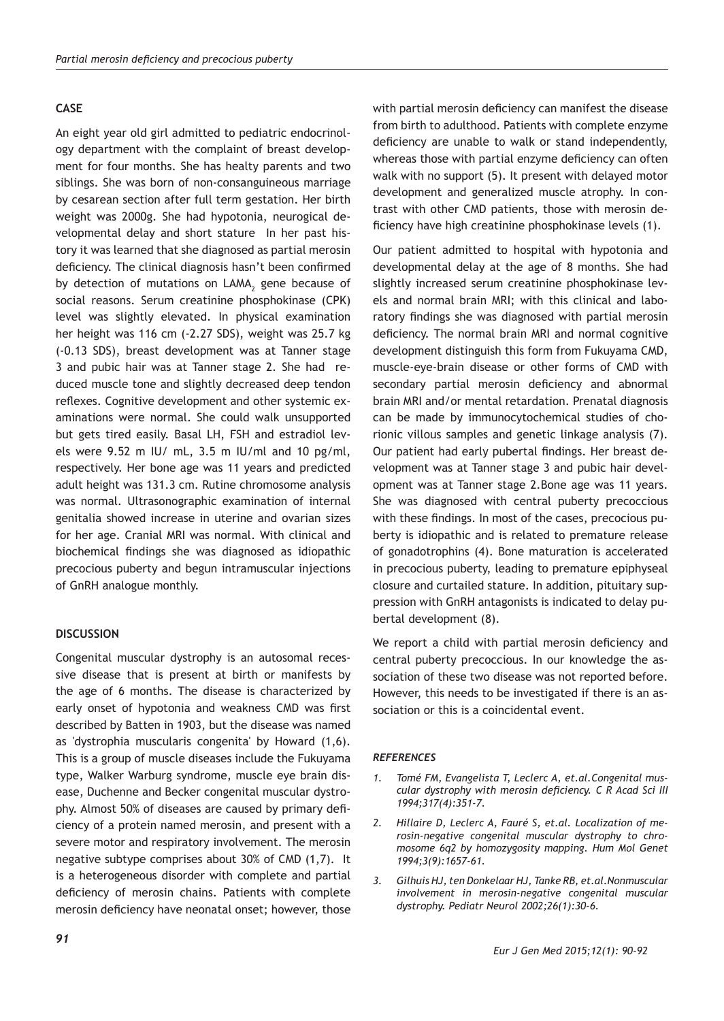# **CASE**

An eight year old girl admitted to pediatric endocrinology department with the complaint of breast development for four months. She has healty parents and two siblings. She was born of non-consanguineous marriage by cesarean section after full term gestation. Her birth weight was 2000g. She had hypotonia, neurogical developmental delay and short stature In her past history it was learned that she diagnosed as partial merosin deficiency. The clinical diagnosis hasn't been confirmed by detection of mutations on  $\mathsf{LAMA}_{\mathbb{2}}$  gene because of social reasons. Serum creatinine phosphokinase (CPK) level was slightly elevated. In physical examination her height was 116 cm (-2.27 SDS), weight was 25.7 kg (-0.13 SDS), breast development was at Tanner stage 3 and pubic hair was at Tanner stage 2. She had reduced muscle tone and slightly decreased deep tendon reflexes. Cognitive development and other systemic examinations were normal. She could walk unsupported but gets tired easily. Basal LH, FSH and estradiol levels were 9.52 m IU/ mL, 3.5 m IU/ml and 10 pg/ml, respectively. Her bone age was 11 years and predicted adult height was 131.3 cm. Rutine chromosome analysis was normal. Ultrasonographic examination of internal genitalia showed increase in uterine and ovarian sizes for her age. Cranial MRI was normal. With clinical and biochemical findings she was diagnosed as idiopathic precocious puberty and begun intramuscular injections of GnRH analogue monthly.

# **DISCUSSION**

Congenital muscular dystrophy is an autosomal recessive disease that is present at birth or manifests by the age of 6 months. The disease is characterized by early onset of hypotonia and weakness CMD was first described by Batten in 1903, but the disease was named as 'dystrophia muscularis congenita' by Howard (1,6). This is a group of muscle diseases include the Fukuyama type, Walker Warburg syndrome, muscle eye brain disease, Duchenne and Becker congenital muscular dystrophy. Almost 50% of diseases are caused by primary deficiency of a protein named merosin, and present with a severe motor and respiratory involvement. The merosin negative subtype comprises about 30% of CMD (1,7). It is a heterogeneous disorder with complete and partial deficiency of merosin chains. Patients with complete merosin deficiency have neonatal onset; however, those

with partial merosin deficiency can manifest the disease from birth to adulthood. Patients with complete enzyme deficiency are unable to walk or stand independently, whereas those with partial enzyme deficiency can often walk with no support (5). It present with delayed motor development and generalized muscle atrophy. In contrast with other CMD patients, those with merosin deficiency have high creatinine phosphokinase levels (1).

Our patient admitted to hospital with hypotonia and developmental delay at the age of 8 months. She had slightly increased serum creatinine phosphokinase levels and normal brain MRI; with this clinical and laboratory findings she was diagnosed with partial merosin deficiency. The normal brain MRI and normal cognitive development distinguish this form from Fukuyama CMD, muscle-eye-brain disease or other forms of CMD with secondary partial merosin deficiency and abnormal brain MRI and/or mental retardation. Prenatal diagnosis can be made by immunocytochemical studies of chorionic villous samples and genetic linkage analysis (7). Our patient had early pubertal findings. Her breast development was at Tanner stage 3 and pubic hair development was at Tanner stage 2.Bone age was 11 years. She was diagnosed with central puberty precoccious with these findings. In most of the cases, precocious puberty is idiopathic and is related to premature release of gonadotrophins (4). Bone maturation is accelerated in precocious puberty, leading to premature epiphyseal closure and curtailed stature. In addition, pituitary suppression with GnRH antagonists is indicated to delay pubertal development (8).

We report a child with partial merosin deficiency and central puberty precoccious. In our knowledge the association of these two disease was not reported before. However, this needs to be investigated if there is an association or this is a coincidental event.

#### *REFERENCES*

- *1. Tomé FM, Evangelista T, Leclerc A, et.al.Congenital muscular dystrophy with merosin deficiency. C R Acad Sci III 1994;317(4):351-7.*
- *2. Hillaire D, Leclerc A, Fauré S, et.al. Localization of merosin-negative congenital muscular dystrophy to chromosome 6q2 by homozygosity mapping. Hum Mol Genet 1994;3(9):1657-61.*
- *3. Gilhuis HJ, ten Donkelaar HJ, Tanke RB, et.al.Nonmuscular involvement in merosin-negative congenital muscular dystrophy. Pediatr Neurol 2002;26(1):30-6.*